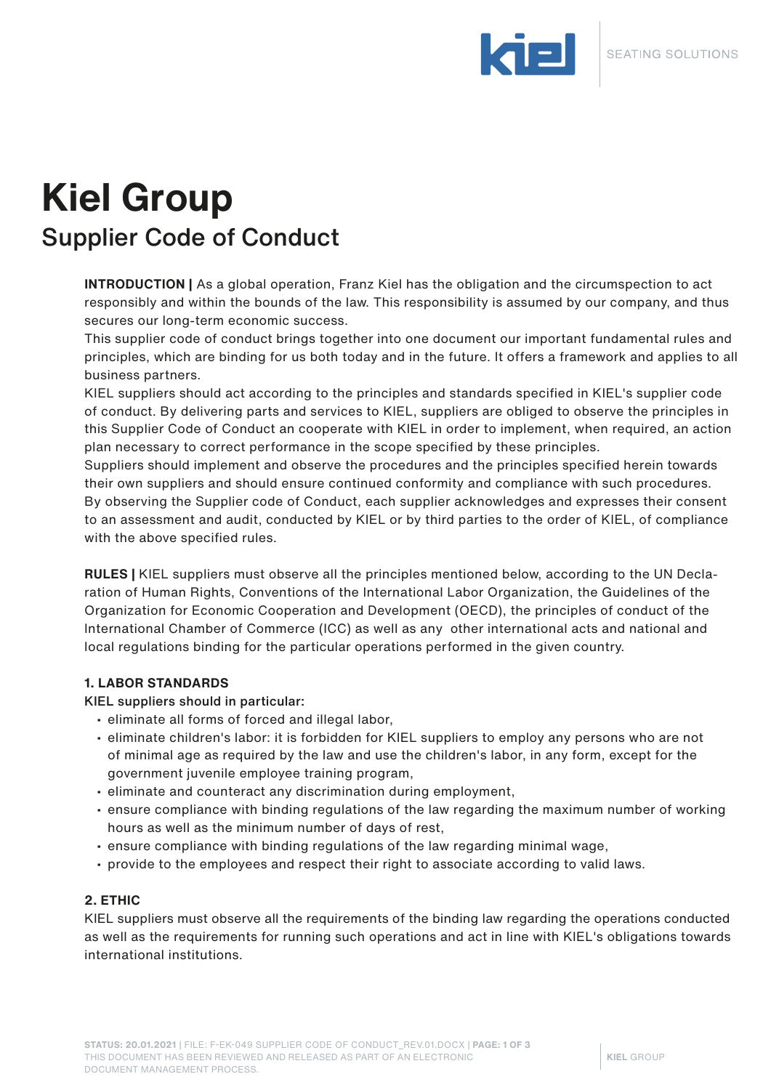

# **Kiel Group** Supplier Code of Conduct

**INTRODUCTION |** As a global operation, Franz Kiel has the obligation and the circumspection to act responsibly and within the bounds of the law. This responsibility is assumed by our company, and thus secures our long-term economic success.

This supplier code of conduct brings together into one document our important fundamental rules and principles, which are binding for us both today and in the future. It offers a framework and applies to all business partners.

KIEL suppliers should act according to the principles and standards specified in KIEL's supplier code of conduct. By delivering parts and services to KIEL, suppliers are obliged to observe the principles in this Supplier Code of Conduct an cooperate with KIEL in order to implement, when required, an action plan necessary to correct performance in the scope specified by these principles.

Suppliers should implement and observe the procedures and the principles specified herein towards their own suppliers and should ensure continued conformity and compliance with such procedures. By observing the Supplier code of Conduct, each supplier acknowledges and expresses their consent to an assessment and audit, conducted by KIEL or by third parties to the order of KIEL, of compliance with the above specified rules.

**RULES |** KIEL suppliers must observe all the principles mentioned below, according to the UN Declaration of Human Rights, Conventions of the International Labor Organization, the Guidelines of the Organization for Economic Cooperation and Development (OECD), the principles of conduct of the International Chamber of Commerce (ICC) as well as any other international acts and national and local regulations binding for the particular operations performed in the given country.

# **1. LABOR STANDARDS**

KIEL suppliers should in particular:

- eliminate all forms of forced and illegal labor,
- eliminate children's labor: it is forbidden for KIEL suppliers to employ any persons who are not of minimal age as required by the law and use the children's labor, in any form, except for the government juvenile employee training program,
- eliminate and counteract any discrimination during employment,
- ensure compliance with binding regulations of the law regarding the maximum number of working hours as well as the minimum number of days of rest,
- ensure compliance with binding regulations of the law regarding minimal wage,
- provide to the employees and respect their right to associate according to valid laws.

# **2. ETHIC**

KIEL suppliers must observe all the requirements of the binding law regarding the operations conducted as well as the requirements for running such operations and act in line with KIEL's obligations towards international institutions.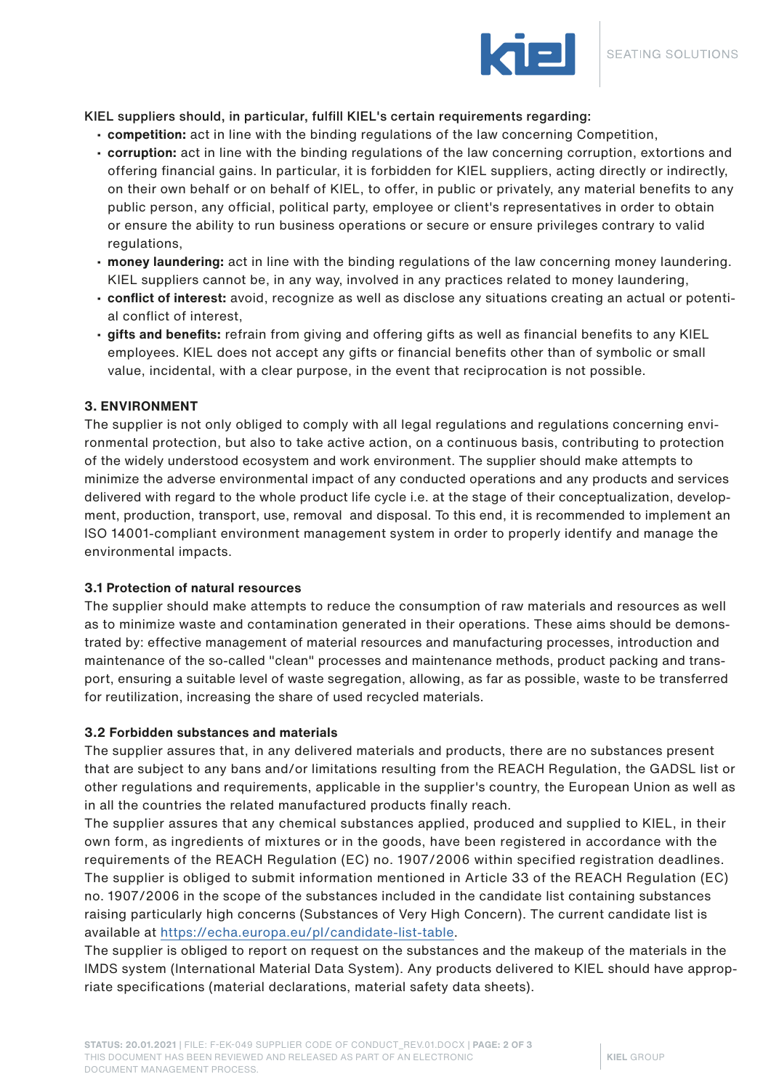

KIEL suppliers should, in particular, fulfill KIEL's certain requirements regarding:

- **competition:** act in line with the binding regulations of the law concerning Competition,
- **corruption:** act in line with the binding regulations of the law concerning corruption, extortions and offering financial gains. In particular, it is forbidden for KIEL suppliers, acting directly or indirectly, on their own behalf or on behalf of KIEL, to offer, in public or privately, any material benefits to any public person, any official, political party, employee or client's representatives in order to obtain or ensure the ability to run business operations or secure or ensure privileges contrary to valid regulations,
- **money laundering:** act in line with the binding regulations of the law concerning money laundering. KIEL suppliers cannot be, in any way, involved in any practices related to money laundering,
- **conflict of interest:** avoid, recognize as well as disclose any situations creating an actual or potential conflict of interest,
- **gifts and benefits:** refrain from giving and offering gifts as well as financial benefits to any KIEL employees. KIEL does not accept any gifts or financial benefits other than of symbolic or small value, incidental, with a clear purpose, in the event that reciprocation is not possible.

### **3. ENVIRONMENT**

The supplier is not only obliged to comply with all legal regulations and regulations concerning environmental protection, but also to take active action, on a continuous basis, contributing to protection of the widely understood ecosystem and work environment. The supplier should make attempts to minimize the adverse environmental impact of any conducted operations and any products and services delivered with regard to the whole product life cycle i.e. at the stage of their conceptualization, development, production, transport, use, removal and disposal. To this end, it is recommended to implement an ISO 14001-compliant environment management system in order to properly identify and manage the environmental impacts.

#### **3.1 Protection of natural resources**

The supplier should make attempts to reduce the consumption of raw materials and resources as well as to minimize waste and contamination generated in their operations. These aims should be demonstrated by: effective management of material resources and manufacturing processes, introduction and maintenance of the so-called "clean" processes and maintenance methods, product packing and transport, ensuring a suitable level of waste segregation, allowing, as far as possible, waste to be transferred for reutilization, increasing the share of used recycled materials.

#### **3.2 Forbidden substances and materials**

The supplier assures that, in any delivered materials and products, there are no substances present that are subject to any bans and/or limitations resulting from the REACH Regulation, the GADSL list or other regulations and requirements, applicable in the supplier's country, the European Union as well as in all the countries the related manufactured products finally reach.

The supplier assures that any chemical substances applied, produced and supplied to KIEL, in their own form, as ingredients of mixtures or in the goods, have been registered in accordance with the requirements of the REACH Regulation (EC) no. 1907/2006 within specified registration deadlines. The supplier is obliged to submit information mentioned in Article 33 of the REACH Regulation (EC) no. 1907/2006 in the scope of the substances included in the candidate list containing substances raising particularly high concerns (Substances of Very High Concern). The current candidate list is available at https://echa.europa.eu/pl/candidate-list-table.

The supplier is obliged to report on request on the substances and the makeup of the materials in the IMDS system (International Material Data System). Any products delivered to KIEL should have appropriate specifications (material declarations, material safety data sheets).